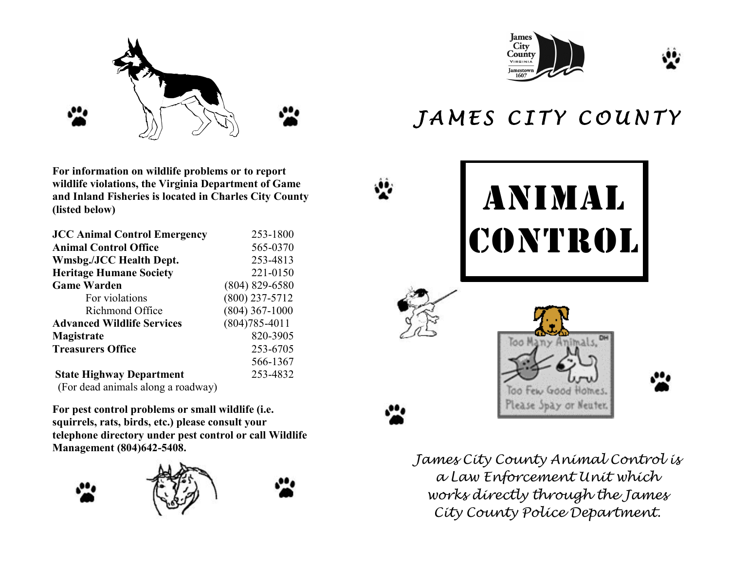

**For information on wildlife problems or to report wildlife violations, the Virginia Department of Game and Inland Fisheries is located in Charles City County (listed below)**

| <b>JCC Animal Control Emergency</b> | 253-1800          |
|-------------------------------------|-------------------|
| <b>Animal Control Office</b>        | 565-0370          |
| <b>Wmsbg./JCC Health Dept.</b>      | 253-4813          |
| <b>Heritage Humane Society</b>      | 221-0150          |
| <b>Game Warden</b>                  | $(804)$ 829-6580  |
| For violations                      | $(800)$ 237-5712  |
| Richmond Office                     | $(804)$ 367-1000  |
| <b>Advanced Wildlife Services</b>   | $(804)785 - 4011$ |
| Magistrate                          | 820-3905          |
| <b>Treasurers Office</b>            | 253-6705          |
|                                     | 566-1367          |
| <b>State Highway Department</b>     | 253-4832          |
| (For dead animals along a roadway)  |                   |

**For pest control problems or small wildlife (i.e. squirrels, rats, birds, etc.) please consult your telephone directory under pest control or call Wildlife Management (804)642-5408.**











## JAMES CITY COUNTY



*James City County Animal Control is a Law Enforcement Unit which works directly through the James City County Police Department.*